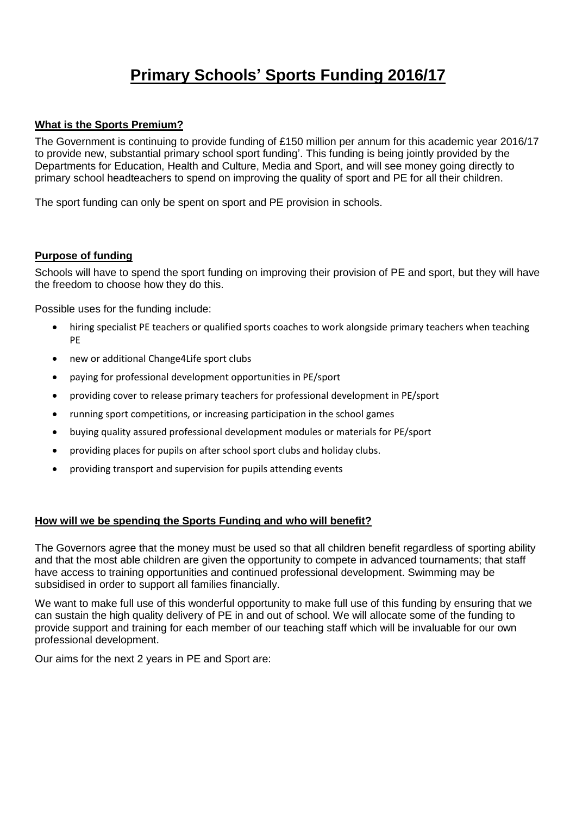# **Primary Schools' Sports Funding 2016/17**

## **What is the Sports Premium?**

The Government is continuing to provide funding of £150 million per annum for this academic year 2016/17 to provide new, substantial primary school sport funding'. This funding is being jointly provided by the Departments for Education, Health and Culture, Media and Sport, and will see money going directly to primary school headteachers to spend on improving the quality of sport and PE for all their children.

The sport funding can only be spent on sport and PE provision in schools.

#### **Purpose of funding**

Schools will have to spend the sport funding on improving their provision of PE and sport, but they will have the freedom to choose how they do this.

Possible uses for the funding include:

- hiring specialist PE teachers or qualified sports coaches to work alongside primary teachers when teaching PE
- new or additional Change4Life sport clubs
- paying for professional development opportunities in PE/sport
- providing cover to release primary teachers for professional development in PE/sport
- running sport competitions, or increasing participation in the school games
- buying quality assured professional development modules or materials for PE/sport
- providing places for pupils on after school sport clubs and holiday clubs.
- providing transport and supervision for pupils attending events

## **How will we be spending the Sports Funding and who will benefit?**

The Governors agree that the money must be used so that all children benefit regardless of sporting ability and that the most able children are given the opportunity to compete in advanced tournaments; that staff have access to training opportunities and continued professional development. Swimming may be subsidised in order to support all families financially.

We want to make full use of this wonderful opportunity to make full use of this funding by ensuring that we can sustain the high quality delivery of PE in and out of school. We will allocate some of the funding to provide support and training for each member of our teaching staff which will be invaluable for our own professional development.

Our aims for the next 2 years in PE and Sport are: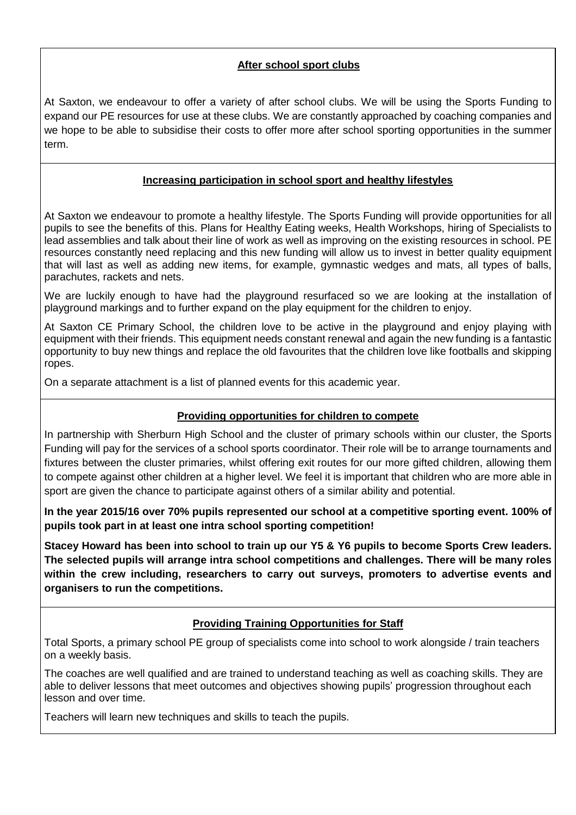## **After school sport clubs**

At Saxton, we endeavour to offer a variety of after school clubs. We will be using the Sports Funding to expand our PE resources for use at these clubs. We are constantly approached by coaching companies and we hope to be able to subsidise their costs to offer more after school sporting opportunities in the summer term.

## **Increasing participation in school sport and healthy lifestyles**

At Saxton we endeavour to promote a healthy lifestyle. The Sports Funding will provide opportunities for all pupils to see the benefits of this. Plans for Healthy Eating weeks, Health Workshops, hiring of Specialists to lead assemblies and talk about their line of work as well as improving on the existing resources in school. PE resources constantly need replacing and this new funding will allow us to invest in better quality equipment that will last as well as adding new items, for example, gymnastic wedges and mats, all types of balls, parachutes, rackets and nets.

We are luckily enough to have had the playground resurfaced so we are looking at the installation of playground markings and to further expand on the play equipment for the children to enjoy.

At Saxton CE Primary School, the children love to be active in the playground and enjoy playing with equipment with their friends. This equipment needs constant renewal and again the new funding is a fantastic opportunity to buy new things and replace the old favourites that the children love like footballs and skipping ropes.

On a separate attachment is a list of planned events for this academic year.

## **Providing opportunities for children to compete**

In partnership with Sherburn High School and the cluster of primary schools within our cluster, the Sports Funding will pay for the services of a school sports coordinator. Their role will be to arrange tournaments and fixtures between the cluster primaries, whilst offering exit routes for our more gifted children, allowing them to compete against other children at a higher level. We feel it is important that children who are more able in sport are given the chance to participate against others of a similar ability and potential.

**In the year 2015/16 over 70% pupils represented our school at a competitive sporting event. 100% of pupils took part in at least one intra school sporting competition!**

Stacey Howard has been into school to train up our Y5 & Y6 pupils to become Sports Crew leaders. **The selected pupils will arrange intra school competitions and challenges. There will be many roles within the crew including, researchers to carry out surveys, promoters to advertise events and organisers to run the competitions.**

## **Providing Training Opportunities for Staff**

Total Sports, a primary school PE group of specialists come into school to work alongside / train teachers on a weekly basis.

The coaches are well qualified and are trained to understand teaching as well as coaching skills. They are able to deliver lessons that meet outcomes and objectives showing pupils' progression throughout each lesson and over time.

Teachers will learn new techniques and skills to teach the pupils.